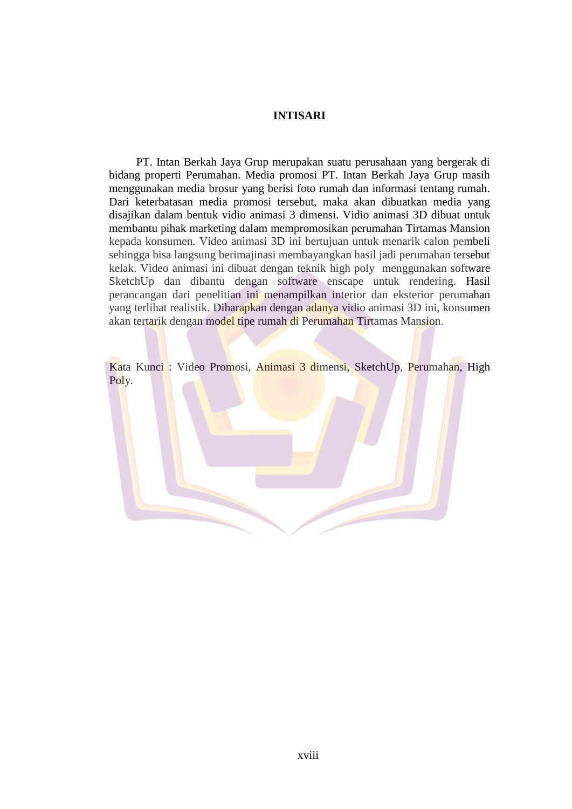## **INTISARI**

PT. Intan Berkah Jaya Grup merupakan suatu perusahaan yang bergerak di bidang properti Perumahan. Media promosi PT. Intan Berkah Jaya Grup masih menggunakan media brosur yang berisi foto rumah dan informasi tentang rumah. Dari keterbatasan media promosi tersebut, maka akan dibuatkan media yang disajikan dalam bentuk vidio animasi 3 dimensi. Vidio animasi 3D dibuat untuk membantu pihak marketing dalam mempromosikan perumahan Tirtamas Mansion kepada konsumen. Video animasi 3D ini bertujuan untuk menarik calon pembeli sehingga bisa langsung berimajinasi membayangkan hasil jadi perumahan tersebut kelak. Video animasi ini dibuat dengan teknik high poly menggunakan software SketchUp dan dibantu dengan software enscape untuk rendering. Hasil perancangan dari penelitian ini menampilkan interior dan eksterior perumahan yang terlihat realistik. Diharapkan dengan adanya vidio animasi 3D ini, konsumen akan tertarik dengan model tipe rumah di Perumahan Tirtamas Mansion.

Kata Kunci : Video Promosi, Animasi 3 dimensi, SketchUp, Perumahan, High Poly.